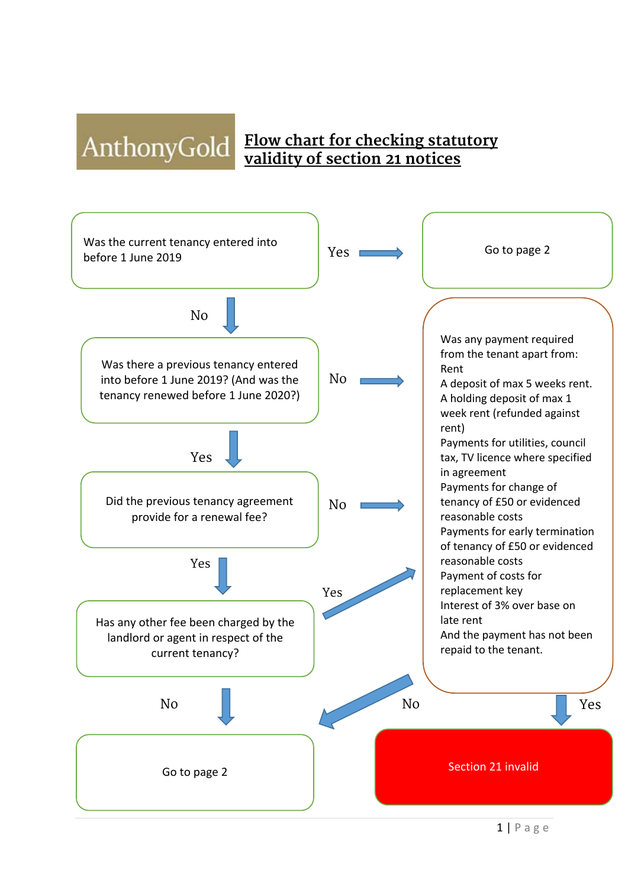## AnthonyGold Flow chart for checking statutory **validity of section 21 notices**



1 | Page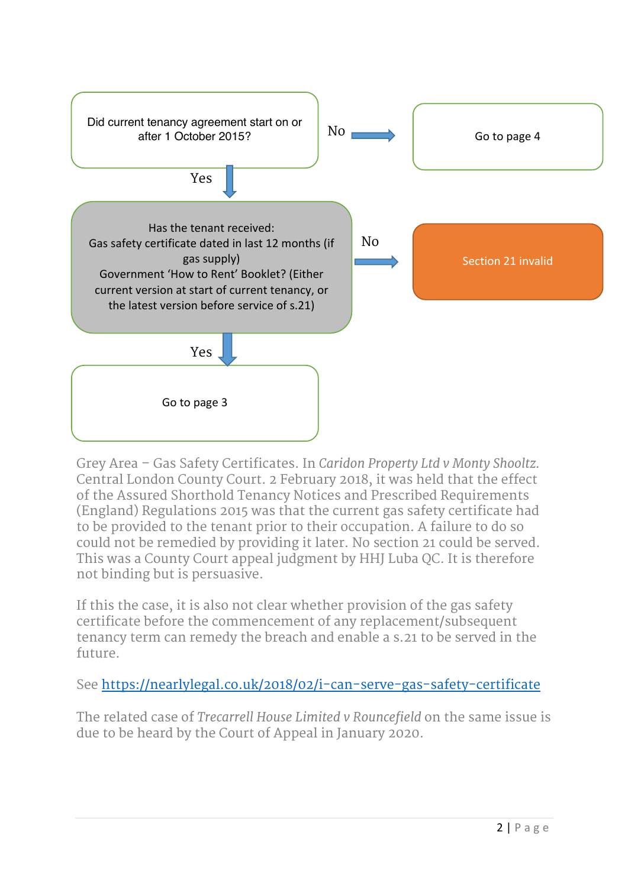

Grey Area – Gas Safety Certificates. In *Caridon Property Ltd v Monty Shooltz.*  Central London County Court. 2 February 2018, it was held that the effect of the Assured Shorthold Tenancy Notices and Prescribed Requirements (England) Regulations 2015 was that the current gas safety certificate had to be provided to the tenant prior to their occupation. A failure to do so could not be remedied by providing it later. No section 21 could be served. This was a County Court appeal judgment by HHJ Luba QC. It is therefore not binding but is persuasive.

If this the case, it is also not clear whether provision of the gas safety certificate before the commencement of any replacement/subsequent tenancy term can remedy the breach and enable a s.21 to be served in the future.

See https://nearlylegal.co.uk/2018/02/i-can-serve-gas-safety-certificate

The related case of *Trecarrell House Limited v Rouncefield* on the same issue is due to be heard by the Court of Appeal in January 2020.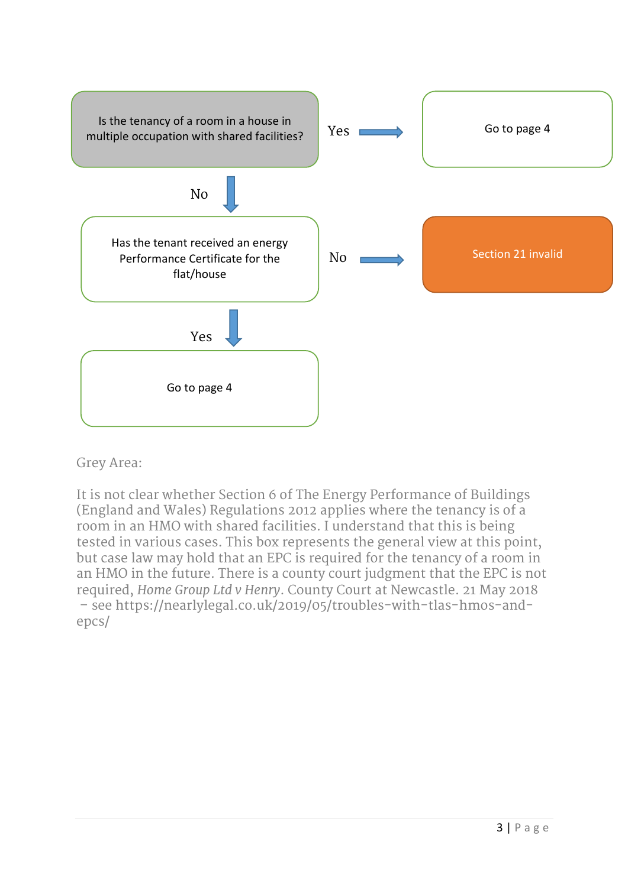

## Grey Area:

It is not clear whether Section 6 of The Energy Performance of Buildings (England and Wales) Regulations 2012 applies where the tenancy is of a room in an HMO with shared facilities. I understand that this is being tested in various cases. This box represents the general view at this point, but case law may hold that an EPC is required for the tenancy of a room in an HMO in the future. There is a county court judgment that the EPC is not required, *Home Group Ltd v Henry*. County Court at Newcastle. 21 May 2018 – see https://nearlylegal.co.uk/2019/05/troubles-with-tlas-hmos-andepcs/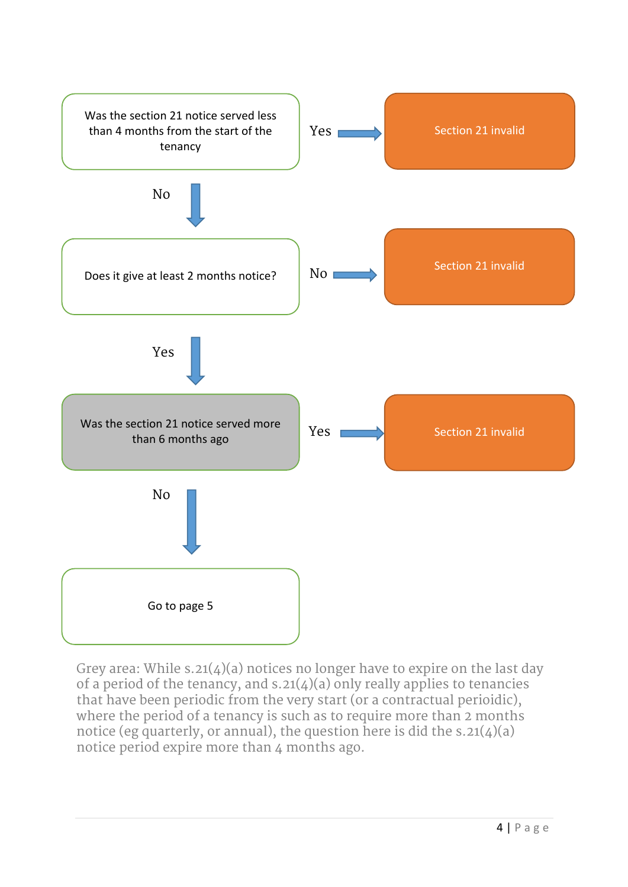

Grey area: While s.21(4)(a) notices no longer have to expire on the last day of a period of the tenancy, and  $s.21(4)(a)$  only really applies to tenancies that have been periodic from the very start (or a contractual perioidic), where the period of a tenancy is such as to require more than 2 months notice (eg quarterly, or annual), the question here is did the  $s.21(4)(a)$ notice period expire more than 4 months ago.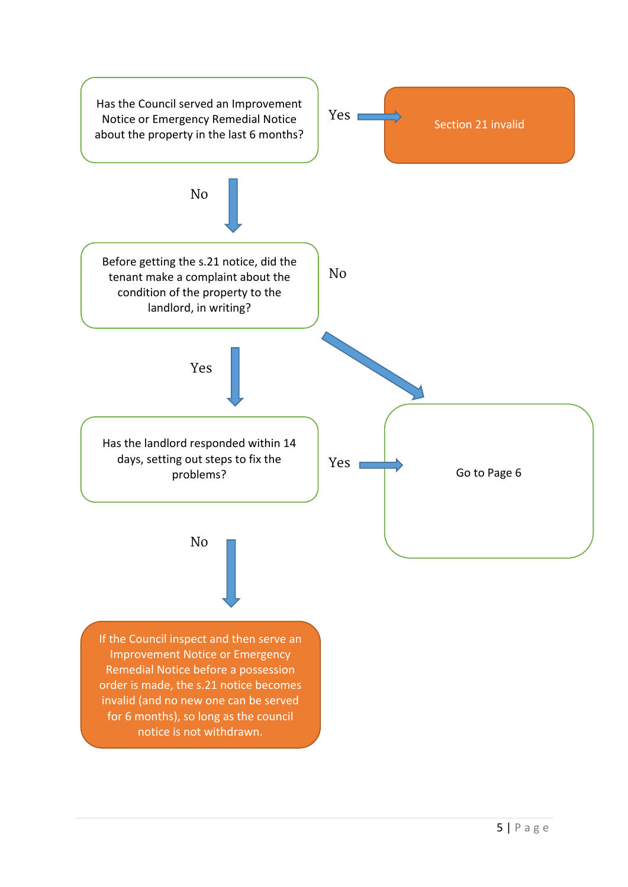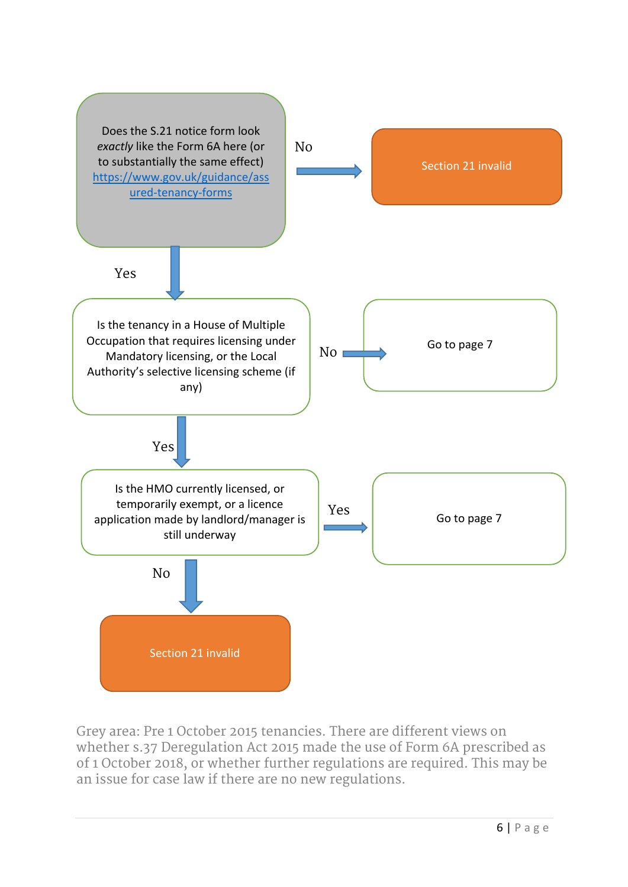

Grey area: Pre 1 October 2015 tenancies. There are different views on whether s.37 Deregulation Act 2015 made the use of Form 6A prescribed as of 1 October 2018, or whether further regulations are required. This may be an issue for case law if there are no new regulations.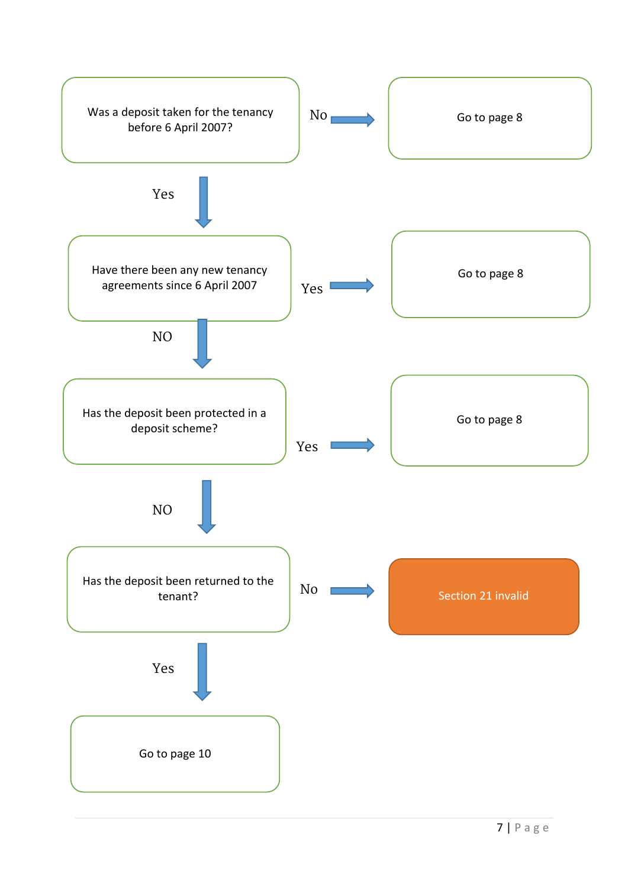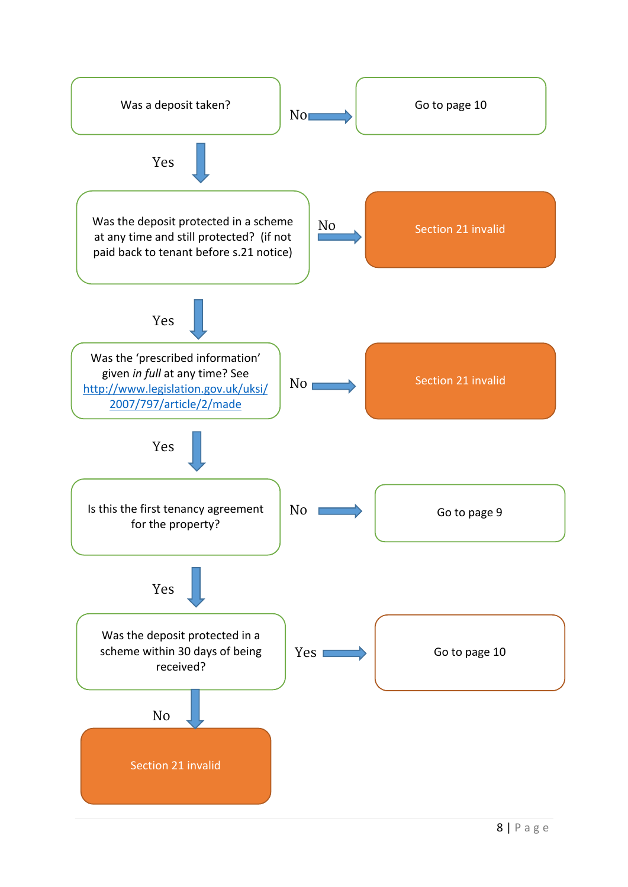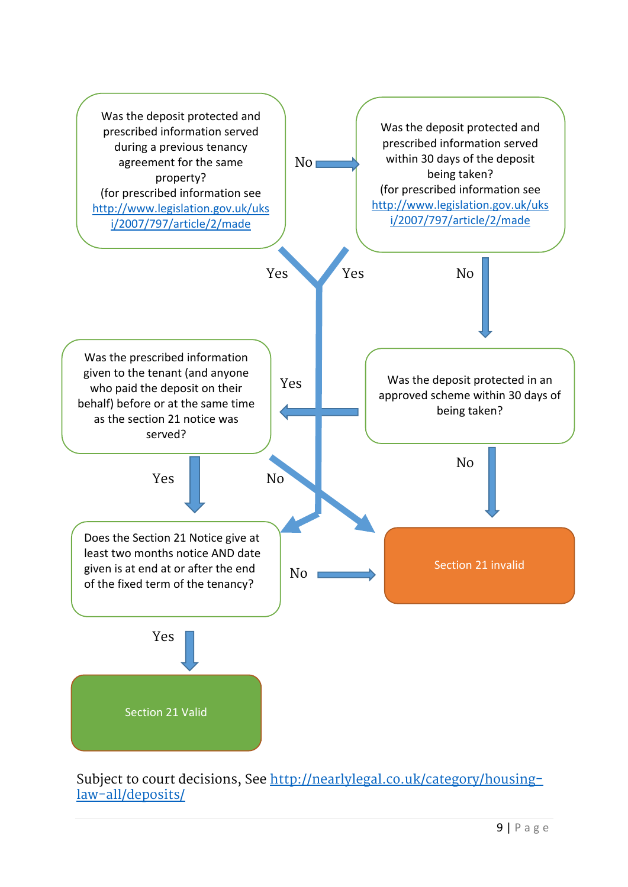

Subject to court decisions, See http://nearlylegal.co.uk/category/housinglaw-all/deposits/